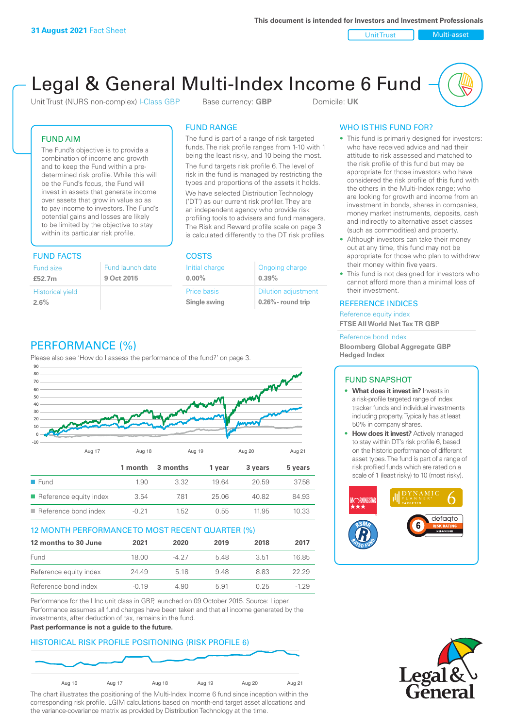Unit Trust Nulti-asset

# Legal & General Multi-Index Income 6 Fund

Unit Trust (NURS non-complex) I-Class GBP Base currency: **GBP** Domicile: UK

### FUND AIM

The Fund's objective is to provide a combination of income and growth and to keep the Fund within a predetermined risk profile. While this will be the Fund's focus, the Fund will invest in assets that generate income over assets that grow in value so as to pay income to investors. The Fund's potential gains and losses are likely to be limited by the objective to stay within its particular risk profile.

### FUND FACTS COSTS

| Fund size<br>£52.7m     | Fund launch date<br>9 Oct 2015 |
|-------------------------|--------------------------------|
| <b>Historical yield</b> |                                |
| 2.6%                    |                                |

## FUND RANGE

The fund is part of a range of risk targeted funds. The risk profile ranges from 1-10 with 1 being the least risky, and 10 being the most.

The fund targets risk profile 6. The level of risk in the fund is managed by restricting the types and proportions of the assets it holds. We have selected Distribution Technology ('DT') as our current risk profiler. They are an independent agency who provide risk profiling tools to advisers and fund managers. The Risk and Reward profile scale on page 3 is calculated differently to the DT risk profiles.

**0.00%**

| Initial charge     | Ongoing charge             |
|--------------------|----------------------------|
| $0.00\%$           | 0.39%                      |
| <b>Price basis</b> | <b>Dilution adjustment</b> |
| Single swing       | $0.26\%$ - round trip      |

### WHO IS THIS FUND FOR?

- This fund is primarily designed for investors: who have received advice and had their attitude to risk assessed and matched to the risk profile of this fund but may be appropriate for those investors who have considered the risk profile of this fund with the others in the Multi-Index range; who are looking for growth and income from an investment in bonds, shares in companies, money market instruments, deposits, cash and indirectly to alternative asset classes (such as commodities) and property.
- Although investors can take their money out at any time, this fund may not be appropriate for those who plan to withdraw their money within five years.
- This fund is not designed for investors who cannot afford more than a minimal loss of their investment.

### REFERENCE INDICES

Reference equity index **FTSE All World Net Tax TR GBP**

#### Reference bond index

**Bloomberg Global Aggregate GBP Hedged Index**

### FUND SNAPSHOT

- **• What does it invest in?** Invests in a risk-profile targeted range of index tracker funds and individual investments including property. Typically has at least 50% in company shares.
- **• How does it invest?** Actively managed to stay within DT's risk profile 6, based on the historic performance of different asset types. The fund is part of a range of risk profiled funds which are rated on a scale of 1 (least risky) to 10 (most risky).





### PERFORMANCE (%)

Please also see 'How do I assess the performance of the fund?' on page 3.



### 12 MONTH PERFORMANCE TO MOST RECENT QUARTER (%)

| 12 months to 30 June   | 2021    | 2020  | 2019 | 2018 | 2017   |
|------------------------|---------|-------|------|------|--------|
| Fund                   | 18.00   | -4 27 | 548  | 3.51 | 1685   |
| Reference equity index | 24.49   | 5 18  | 948  | 883  | 22.29  |
| Reference bond index   | $-0.19$ | 4.90  | 5.91 | 0.25 | $-129$ |

Performance for the I Inc unit class in GBP, launched on 09 October 2015. Source: Lipper. Performance assumes all fund charges have been taken and that all income generated by the investments, after deduction of tax, remains in the fund.

#### **Past performance is not a guide to the future.**

### HISTORICAL RISK PROFILE POSITIONING (RISK PROFILE 6)



The chart illustrates the positioning of the Multi-Index Income 6 fund since inception within the corresponding risk profile. LGIM calculations based on month-end target asset allocations and the variance-covariance matrix as provided by Distribution Technology at the time.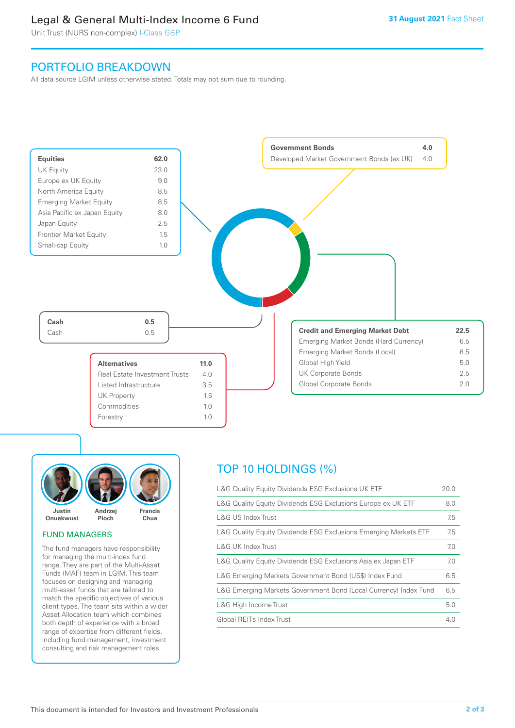### Legal & General Multi-Index Income 6 Fund

Unit Trust (NURS non-complex) I-Class GBP

### PORTFOLIO BREAKDOWN

All data source LGIM unless otherwise stated. Totals may not sum due to rounding.





### FUND MANAGERS

The fund managers have responsibility for managing the multi-index fund range. They are part of the Multi-Asset Funds (MAF) team in LGIM. This team focuses on designing and managing multi-asset funds that are tailored to match the specific objectives of various client types. The team sits within a wider Asset Allocation team which combines both depth of experience with a broad range of expertise from different fields, including fund management, investment consulting and risk management roles.

### TOP 10 HOLDINGS (%)

| L&G Quality Equity Dividends ESG Exclusions UK ETF               | 20.0 |
|------------------------------------------------------------------|------|
| L&G Quality Equity Dividends ESG Exclusions Europe ex UK ETF     | 8.0  |
| L&G US Index Trust                                               | 7.5  |
| L&G Quality Equity Dividends ESG Exclusions Emerging Markets ETF | 7.5  |
| L&G UK Index Trust                                               | 7.0  |
| L&G Quality Equity Dividends ESG Exclusions Asia ex Japan ETF    | 7.0  |
| L&G Emerging Markets Government Bond (US\$) Index Fund           | 6.5  |
| L&G Emerging Markets Government Bond (Local Currency) Index Fund | 6.5  |
| L&G High Income Trust                                            | 5.0  |
| Global REITs Index Trust                                         | 4.0  |